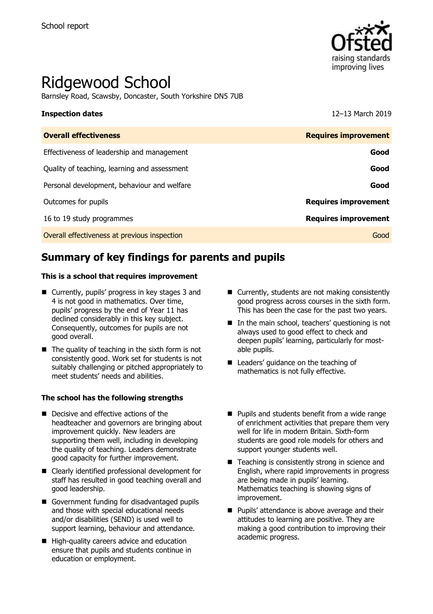

# Ridgewood School

Barnsley Road, Scawsby, Doncaster, South Yorkshire DN5 7UB

#### **Inspection dates** 12–13 March 2019

| <b>Requires improvement</b> |
|-----------------------------|
| Good                        |
| Good                        |
| Good                        |
| <b>Requires improvement</b> |
| <b>Requires improvement</b> |
| Good                        |
|                             |

# **Summary of key findings for parents and pupils**

#### **This is a school that requires improvement**

- Currently, pupils' progress in key stages 3 and 4 is not good in mathematics. Over time, pupils' progress by the end of Year 11 has declined considerably in this key subject. Consequently, outcomes for pupils are not good overall.
- $\blacksquare$  The quality of teaching in the sixth form is not consistently good. Work set for students is not suitably challenging or pitched appropriately to meet students' needs and abilities.

#### **The school has the following strengths**

- Decisive and effective actions of the headteacher and governors are bringing about improvement quickly. New leaders are supporting them well, including in developing the quality of teaching. Leaders demonstrate good capacity for further improvement.
- Clearly identified professional development for staff has resulted in good teaching overall and good leadership.
- Government funding for disadvantaged pupils and those with special educational needs and/or disabilities (SEND) is used well to support learning, behaviour and attendance.
- High-quality careers advice and education ensure that pupils and students continue in education or employment.
- Currently, students are not making consistently good progress across courses in the sixth form. This has been the case for the past two years.
- In the main school, teachers' questioning is not always used to good effect to check and deepen pupils' learning, particularly for mostable pupils.
- Leaders' quidance on the teaching of mathematics is not fully effective.
- **Pupils and students benefit from a wide range** of enrichment activities that prepare them very well for life in modern Britain. Sixth-form students are good role models for others and support younger students well.
- Teaching is consistently strong in science and English, where rapid improvements in progress are being made in pupils' learning. Mathematics teaching is showing signs of improvement.
- **Pupils' attendance is above average and their** attitudes to learning are positive. They are making a good contribution to improving their academic progress.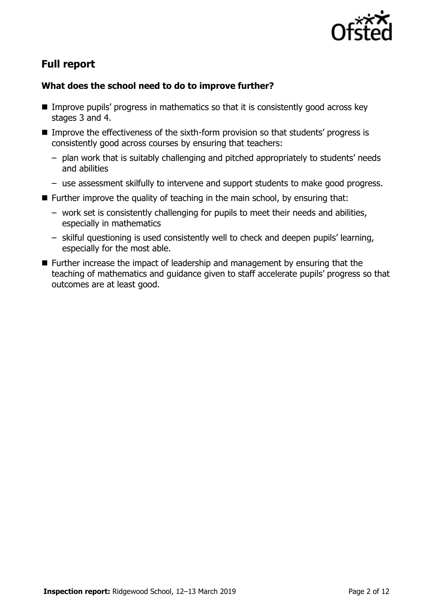

# **Full report**

### **What does the school need to do to improve further?**

- Improve pupils' progress in mathematics so that it is consistently good across key stages 3 and 4.
- Improve the effectiveness of the sixth-form provision so that students' progress is consistently good across courses by ensuring that teachers:
	- plan work that is suitably challenging and pitched appropriately to students' needs and abilities
	- use assessment skilfully to intervene and support students to make good progress.
- Further improve the quality of teaching in the main school, by ensuring that:
	- work set is consistently challenging for pupils to meet their needs and abilities, especially in mathematics
	- skilful questioning is used consistently well to check and deepen pupils' learning, especially for the most able.
- Further increase the impact of leadership and management by ensuring that the teaching of mathematics and guidance given to staff accelerate pupils' progress so that outcomes are at least good.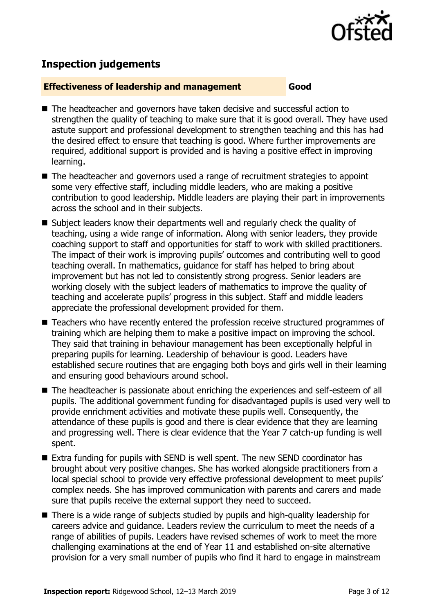

# **Inspection judgements**

#### **Effectiveness of leadership and management Good**

- The headteacher and governors have taken decisive and successful action to strengthen the quality of teaching to make sure that it is good overall. They have used astute support and professional development to strengthen teaching and this has had the desired effect to ensure that teaching is good. Where further improvements are required, additional support is provided and is having a positive effect in improving learning.
- The headteacher and governors used a range of recruitment strategies to appoint some very effective staff, including middle leaders, who are making a positive contribution to good leadership. Middle leaders are playing their part in improvements across the school and in their subjects.
- Subject leaders know their departments well and regularly check the quality of teaching, using a wide range of information. Along with senior leaders, they provide coaching support to staff and opportunities for staff to work with skilled practitioners. The impact of their work is improving pupils' outcomes and contributing well to good teaching overall. In mathematics, guidance for staff has helped to bring about improvement but has not led to consistently strong progress. Senior leaders are working closely with the subject leaders of mathematics to improve the quality of teaching and accelerate pupils' progress in this subject. Staff and middle leaders appreciate the professional development provided for them.
- Teachers who have recently entered the profession receive structured programmes of training which are helping them to make a positive impact on improving the school. They said that training in behaviour management has been exceptionally helpful in preparing pupils for learning. Leadership of behaviour is good. Leaders have established secure routines that are engaging both boys and girls well in their learning and ensuring good behaviours around school.
- The headteacher is passionate about enriching the experiences and self-esteem of all pupils. The additional government funding for disadvantaged pupils is used very well to provide enrichment activities and motivate these pupils well. Consequently, the attendance of these pupils is good and there is clear evidence that they are learning and progressing well. There is clear evidence that the Year 7 catch-up funding is well spent.
- Extra funding for pupils with SEND is well spent. The new SEND coordinator has brought about very positive changes. She has worked alongside practitioners from a local special school to provide very effective professional development to meet pupils' complex needs. She has improved communication with parents and carers and made sure that pupils receive the external support they need to succeed.
- There is a wide range of subjects studied by pupils and high-quality leadership for careers advice and guidance. Leaders review the curriculum to meet the needs of a range of abilities of pupils. Leaders have revised schemes of work to meet the more challenging examinations at the end of Year 11 and established on-site alternative provision for a very small number of pupils who find it hard to engage in mainstream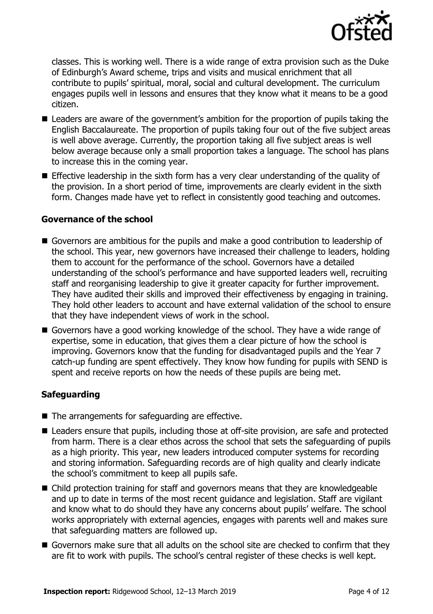

classes. This is working well. There is a wide range of extra provision such as the Duke of Edinburgh's Award scheme, trips and visits and musical enrichment that all contribute to pupils' spiritual, moral, social and cultural development. The curriculum engages pupils well in lessons and ensures that they know what it means to be a good citizen.

- Leaders are aware of the government's ambition for the proportion of pupils taking the English Baccalaureate. The proportion of pupils taking four out of the five subject areas is well above average. Currently, the proportion taking all five subject areas is well below average because only a small proportion takes a language. The school has plans to increase this in the coming year.
- **E** Effective leadership in the sixth form has a very clear understanding of the quality of the provision. In a short period of time, improvements are clearly evident in the sixth form. Changes made have yet to reflect in consistently good teaching and outcomes.

#### **Governance of the school**

- Governors are ambitious for the pupils and make a good contribution to leadership of the school. This year, new governors have increased their challenge to leaders, holding them to account for the performance of the school. Governors have a detailed understanding of the school's performance and have supported leaders well, recruiting staff and reorganising leadership to give it greater capacity for further improvement. They have audited their skills and improved their effectiveness by engaging in training. They hold other leaders to account and have external validation of the school to ensure that they have independent views of work in the school.
- Governors have a good working knowledge of the school. They have a wide range of expertise, some in education, that gives them a clear picture of how the school is improving. Governors know that the funding for disadvantaged pupils and the Year 7 catch-up funding are spent effectively. They know how funding for pupils with SEND is spent and receive reports on how the needs of these pupils are being met.

### **Safeguarding**

- The arrangements for safeguarding are effective.
- Leaders ensure that pupils, including those at off-site provision, are safe and protected from harm. There is a clear ethos across the school that sets the safeguarding of pupils as a high priority. This year, new leaders introduced computer systems for recording and storing information. Safeguarding records are of high quality and clearly indicate the school's commitment to keep all pupils safe.
- Child protection training for staff and governors means that they are knowledgeable and up to date in terms of the most recent guidance and legislation. Staff are vigilant and know what to do should they have any concerns about pupils' welfare. The school works appropriately with external agencies, engages with parents well and makes sure that safeguarding matters are followed up.
- Governors make sure that all adults on the school site are checked to confirm that they are fit to work with pupils. The school's central register of these checks is well kept.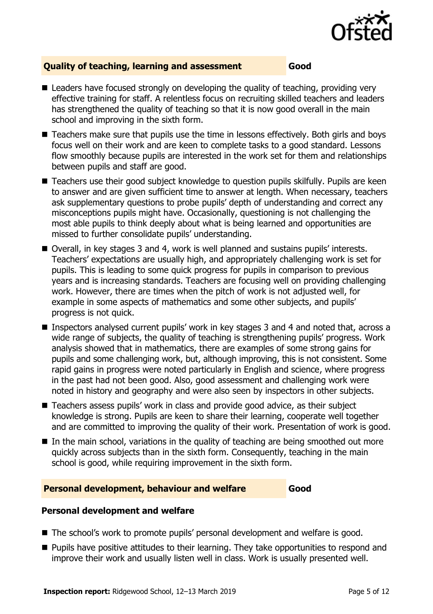

### **Quality of teaching, learning and assessment Good**

- Leaders have focused strongly on developing the quality of teaching, providing very effective training for staff. A relentless focus on recruiting skilled teachers and leaders has strengthened the quality of teaching so that it is now good overall in the main school and improving in the sixth form.
- Teachers make sure that pupils use the time in lessons effectively. Both girls and boys focus well on their work and are keen to complete tasks to a good standard. Lessons flow smoothly because pupils are interested in the work set for them and relationships between pupils and staff are good.
- Teachers use their good subject knowledge to question pupils skilfully. Pupils are keen to answer and are given sufficient time to answer at length. When necessary, teachers ask supplementary questions to probe pupils' depth of understanding and correct any misconceptions pupils might have. Occasionally, questioning is not challenging the most able pupils to think deeply about what is being learned and opportunities are missed to further consolidate pupils' understanding.
- Overall, in key stages 3 and 4, work is well planned and sustains pupils' interests. Teachers' expectations are usually high, and appropriately challenging work is set for pupils. This is leading to some quick progress for pupils in comparison to previous years and is increasing standards. Teachers are focusing well on providing challenging work. However, there are times when the pitch of work is not adjusted well, for example in some aspects of mathematics and some other subjects, and pupils' progress is not quick.
- Inspectors analysed current pupils' work in key stages 3 and 4 and noted that, across a wide range of subjects, the quality of teaching is strengthening pupils' progress. Work analysis showed that in mathematics, there are examples of some strong gains for pupils and some challenging work, but, although improving, this is not consistent. Some rapid gains in progress were noted particularly in English and science, where progress in the past had not been good. Also, good assessment and challenging work were noted in history and geography and were also seen by inspectors in other subjects.
- Teachers assess pupils' work in class and provide good advice, as their subject knowledge is strong. Pupils are keen to share their learning, cooperate well together and are committed to improving the quality of their work. Presentation of work is good.
- $\blacksquare$  In the main school, variations in the quality of teaching are being smoothed out more quickly across subjects than in the sixth form. Consequently, teaching in the main school is good, while requiring improvement in the sixth form.

### **Personal development, behaviour and welfare Good**

### **Personal development and welfare**

- The school's work to promote pupils' personal development and welfare is good.
- **Pupils have positive attitudes to their learning. They take opportunities to respond and** improve their work and usually listen well in class. Work is usually presented well.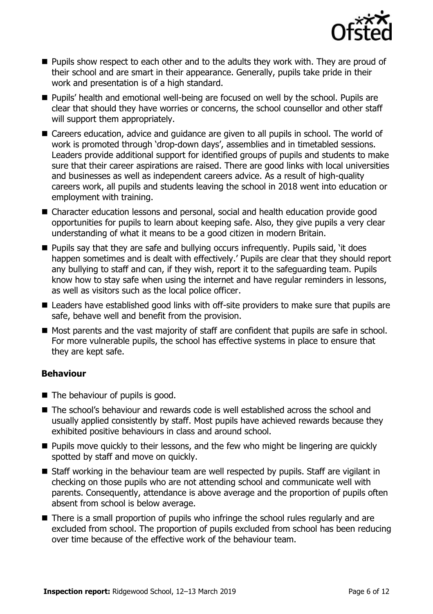

- **Pupils show respect to each other and to the adults they work with. They are proud of** their school and are smart in their appearance. Generally, pupils take pride in their work and presentation is of a high standard.
- **Pupils'** health and emotional well-being are focused on well by the school. Pupils are clear that should they have worries or concerns, the school counsellor and other staff will support them appropriately.
- Careers education, advice and guidance are given to all pupils in school. The world of work is promoted through 'drop-down days', assemblies and in timetabled sessions. Leaders provide additional support for identified groups of pupils and students to make sure that their career aspirations are raised. There are good links with local universities and businesses as well as independent careers advice. As a result of high-quality careers work, all pupils and students leaving the school in 2018 went into education or employment with training.
- Character education lessons and personal, social and health education provide good opportunities for pupils to learn about keeping safe. Also, they give pupils a very clear understanding of what it means to be a good citizen in modern Britain.
- Pupils say that they are safe and bullying occurs infrequently. Pupils said, 'it does happen sometimes and is dealt with effectively.' Pupils are clear that they should report any bullying to staff and can, if they wish, report it to the safeguarding team. Pupils know how to stay safe when using the internet and have regular reminders in lessons, as well as visitors such as the local police officer.
- Leaders have established good links with off-site providers to make sure that pupils are safe, behave well and benefit from the provision.
- Most parents and the vast majority of staff are confident that pupils are safe in school. For more vulnerable pupils, the school has effective systems in place to ensure that they are kept safe.

### **Behaviour**

- The behaviour of pupils is good.
- The school's behaviour and rewards code is well established across the school and usually applied consistently by staff. Most pupils have achieved rewards because they exhibited positive behaviours in class and around school.
- **Pupils move quickly to their lessons, and the few who might be lingering are quickly** spotted by staff and move on quickly.
- Staff working in the behaviour team are well respected by pupils. Staff are vigilant in checking on those pupils who are not attending school and communicate well with parents. Consequently, attendance is above average and the proportion of pupils often absent from school is below average.
- There is a small proportion of pupils who infringe the school rules regularly and are excluded from school. The proportion of pupils excluded from school has been reducing over time because of the effective work of the behaviour team.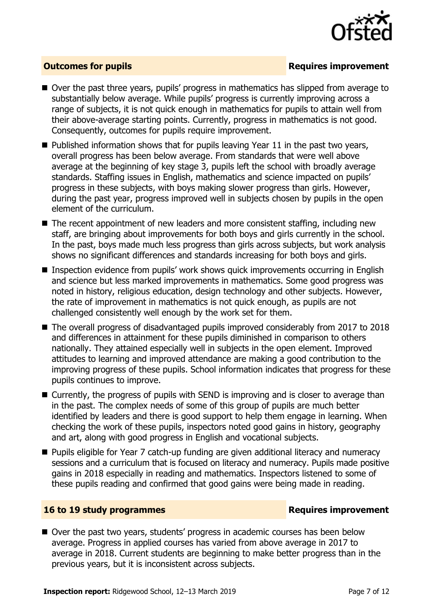

### **Outcomes for pupils Requires improvement**

- Over the past three years, pupils' progress in mathematics has slipped from average to substantially below average. While pupils' progress is currently improving across a range of subjects, it is not quick enough in mathematics for pupils to attain well from their above-average starting points. Currently, progress in mathematics is not good. Consequently, outcomes for pupils require improvement.
- $\blacksquare$  Published information shows that for pupils leaving Year 11 in the past two vears, overall progress has been below average. From standards that were well above average at the beginning of key stage 3, pupils left the school with broadly average standards. Staffing issues in English, mathematics and science impacted on pupils' progress in these subjects, with boys making slower progress than girls. However, during the past year, progress improved well in subjects chosen by pupils in the open element of the curriculum.
- The recent appointment of new leaders and more consistent staffing, including new staff, are bringing about improvements for both boys and girls currently in the school. In the past, boys made much less progress than girls across subjects, but work analysis shows no significant differences and standards increasing for both boys and girls.
- Inspection evidence from pupils' work shows quick improvements occurring in English and science but less marked improvements in mathematics. Some good progress was noted in history, religious education, design technology and other subjects. However, the rate of improvement in mathematics is not quick enough, as pupils are not challenged consistently well enough by the work set for them.
- The overall progress of disadvantaged pupils improved considerably from 2017 to 2018 and differences in attainment for these pupils diminished in comparison to others nationally. They attained especially well in subjects in the open element. Improved attitudes to learning and improved attendance are making a good contribution to the improving progress of these pupils. School information indicates that progress for these pupils continues to improve.
- Currently, the progress of pupils with SEND is improving and is closer to average than in the past. The complex needs of some of this group of pupils are much better identified by leaders and there is good support to help them engage in learning. When checking the work of these pupils, inspectors noted good gains in history, geography and art, along with good progress in English and vocational subjects.
- Pupils eligible for Year 7 catch-up funding are given additional literacy and numeracy sessions and a curriculum that is focused on literacy and numeracy. Pupils made positive gains in 2018 especially in reading and mathematics. Inspectors listened to some of these pupils reading and confirmed that good gains were being made in reading.

#### **16 to 19 study programmes Requires improvement**

■ Over the past two years, students' progress in academic courses has been below average. Progress in applied courses has varied from above average in 2017 to average in 2018. Current students are beginning to make better progress than in the previous years, but it is inconsistent across subjects.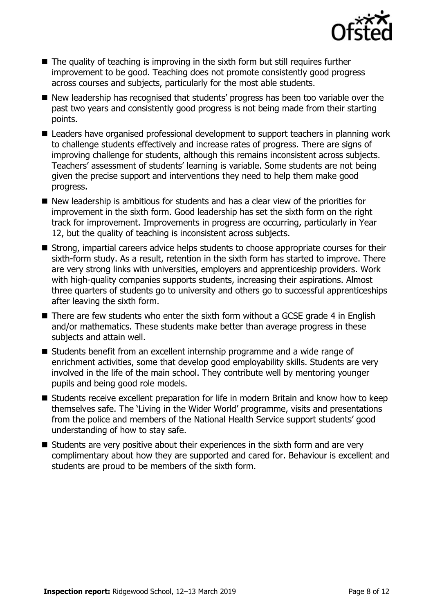

- $\blacksquare$  The quality of teaching is improving in the sixth form but still requires further improvement to be good. Teaching does not promote consistently good progress across courses and subjects, particularly for the most able students.
- New leadership has recognised that students' progress has been too variable over the past two years and consistently good progress is not being made from their starting points.
- Leaders have organised professional development to support teachers in planning work to challenge students effectively and increase rates of progress. There are signs of improving challenge for students, although this remains inconsistent across subjects. Teachers' assessment of students' learning is variable. Some students are not being given the precise support and interventions they need to help them make good progress.
- New leadership is ambitious for students and has a clear view of the priorities for improvement in the sixth form. Good leadership has set the sixth form on the right track for improvement. Improvements in progress are occurring, particularly in Year 12, but the quality of teaching is inconsistent across subjects.
- Strong, impartial careers advice helps students to choose appropriate courses for their sixth-form study. As a result, retention in the sixth form has started to improve. There are very strong links with universities, employers and apprenticeship providers. Work with high-quality companies supports students, increasing their aspirations. Almost three quarters of students go to university and others go to successful apprenticeships after leaving the sixth form.
- $\blacksquare$  There are few students who enter the sixth form without a GCSE grade 4 in English and/or mathematics. These students make better than average progress in these subjects and attain well.
- Students benefit from an excellent internship programme and a wide range of enrichment activities, some that develop good employability skills. Students are very involved in the life of the main school. They contribute well by mentoring younger pupils and being good role models.
- Students receive excellent preparation for life in modern Britain and know how to keep themselves safe. The 'Living in the Wider World' programme, visits and presentations from the police and members of the National Health Service support students' good understanding of how to stay safe.
- $\blacksquare$  Students are very positive about their experiences in the sixth form and are very complimentary about how they are supported and cared for. Behaviour is excellent and students are proud to be members of the sixth form.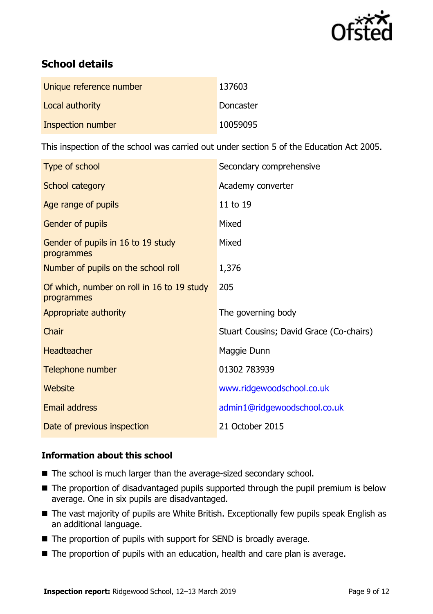

# **School details**

| Unique reference number  | 137603    |
|--------------------------|-----------|
| Local authority          | Doncaster |
| <b>Inspection number</b> | 10059095  |

This inspection of the school was carried out under section 5 of the Education Act 2005.

| Type of school                                           | Secondary comprehensive                 |
|----------------------------------------------------------|-----------------------------------------|
| School category                                          | Academy converter                       |
| Age range of pupils                                      | 11 to 19                                |
| Gender of pupils                                         | Mixed                                   |
| Gender of pupils in 16 to 19 study<br>programmes         | Mixed                                   |
| Number of pupils on the school roll                      | 1,376                                   |
| Of which, number on roll in 16 to 19 study<br>programmes | 205                                     |
| Appropriate authority                                    | The governing body                      |
| Chair                                                    | Stuart Cousins; David Grace (Co-chairs) |
| Headteacher                                              | Maggie Dunn                             |
| Telephone number                                         | 01302 783939                            |
| <b>Website</b>                                           | www.ridgewoodschool.co.uk               |
| Email address                                            | admin1@ridgewoodschool.co.uk            |
| Date of previous inspection                              | 21 October 2015                         |

### **Information about this school**

- The school is much larger than the average-sized secondary school.
- The proportion of disadvantaged pupils supported through the pupil premium is below average. One in six pupils are disadvantaged.
- The vast majority of pupils are White British. Exceptionally few pupils speak English as an additional language.
- The proportion of pupils with support for SEND is broadly average.
- The proportion of pupils with an education, health and care plan is average.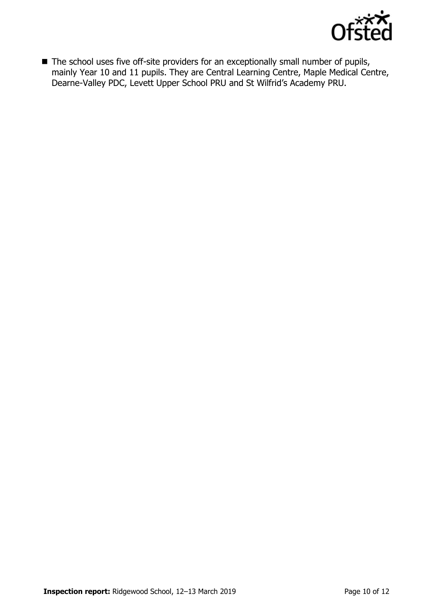

■ The school uses five off-site providers for an exceptionally small number of pupils, mainly Year 10 and 11 pupils. They are Central Learning Centre, Maple Medical Centre, Dearne-Valley PDC, Levett Upper School PRU and St Wilfrid's Academy PRU.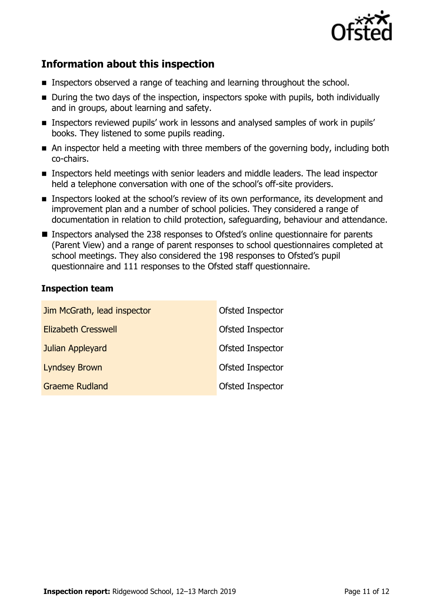

# **Information about this inspection**

- Inspectors observed a range of teaching and learning throughout the school.
- During the two days of the inspection, inspectors spoke with pupils, both individually and in groups, about learning and safety.
- **Inspectors reviewed pupils' work in lessons and analysed samples of work in pupils'** books. They listened to some pupils reading.
- An inspector held a meeting with three members of the governing body, including both co-chairs.
- **Inspectors held meetings with senior leaders and middle leaders. The lead inspector** held a telephone conversation with one of the school's off-site providers.
- **Inspectors looked at the school's review of its own performance, its development and** improvement plan and a number of school policies. They considered a range of documentation in relation to child protection, safeguarding, behaviour and attendance.
- Inspectors analysed the 238 responses to Ofsted's online questionnaire for parents (Parent View) and a range of parent responses to school questionnaires completed at school meetings. They also considered the 198 responses to Ofsted's pupil questionnaire and 111 responses to the Ofsted staff questionnaire.

### **Inspection team**

| Jim McGrath, lead inspector | Ofsted Inspector        |
|-----------------------------|-------------------------|
| <b>Elizabeth Cresswell</b>  | <b>Ofsted Inspector</b> |
| Julian Appleyard            | <b>Ofsted Inspector</b> |
| <b>Lyndsey Brown</b>        | Ofsted Inspector        |
| <b>Graeme Rudland</b>       | <b>Ofsted Inspector</b> |